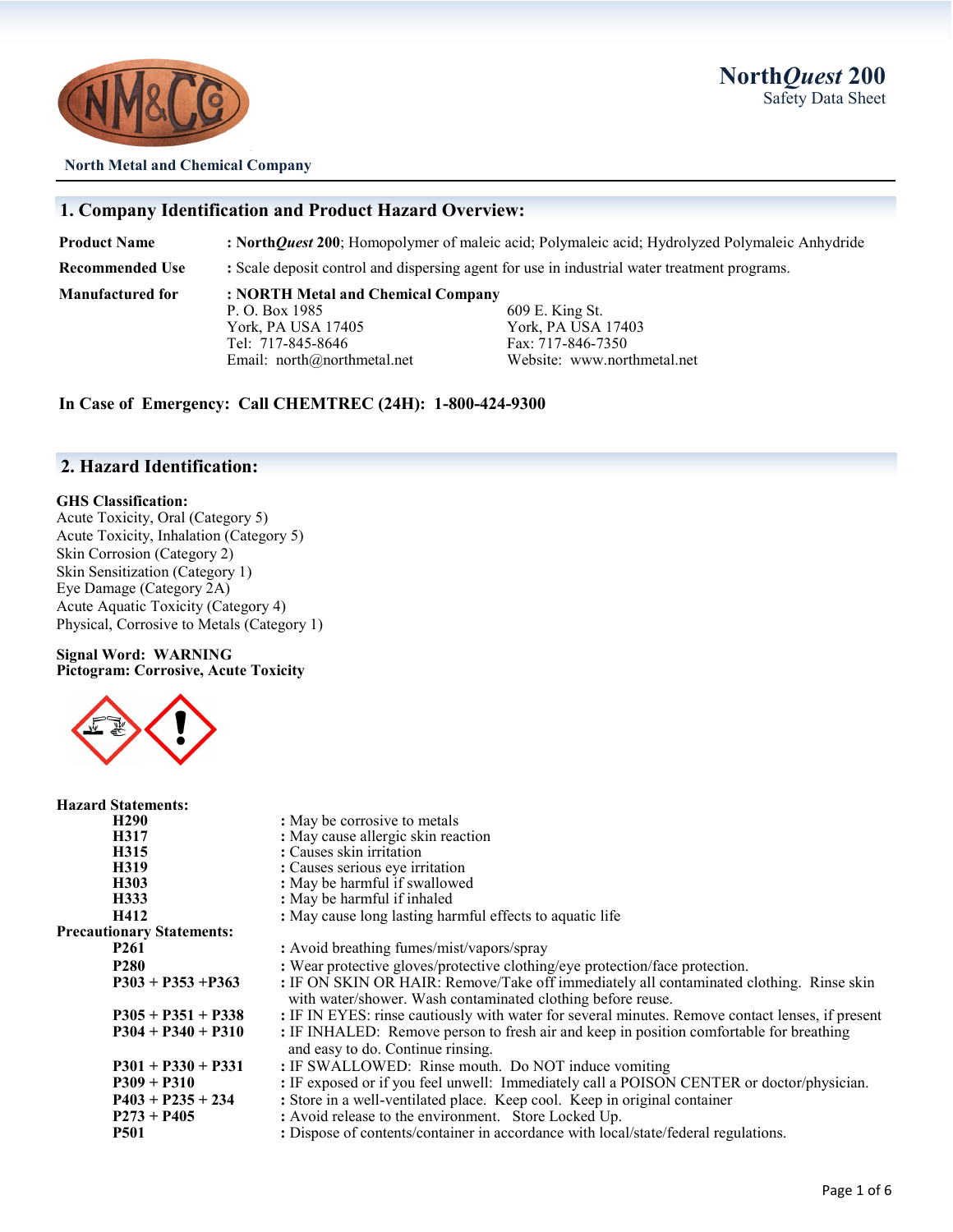



**North Metal and Chemical Company**

### **1. Company Identification and Product Hazard Overview:**

**Product Name : North***Quest* **200**; Homopolymer of maleic acid; Polymaleic acid; Hydrolyzed Polymaleic Anhydride

**Recommended Use :** Scale deposit control and dispersing agent for use in industrial water treatment programs.

**Manufactured for : NORTH Metal and Chemical Company** York, PA USA 17405 York, PA USA 17403 Tel: 717-845-8646 Fax: 717-846-7350 Email: north@northmetal.net Website: www.northmetal.net

609 E. King St.

**In Case of Emergency: Call CHEMTREC (24H): 1-800-424-9300**

### **2. Hazard Identification:**

### **GHS Classification:**

Acute Toxicity, Oral (Category 5) Acute Toxicity, Inhalation (Category 5) Skin Corrosion (Category 2) Skin Sensitization (Category 1) Eye Damage (Category 2A) Acute Aquatic Toxicity (Category 4) Physical, Corrosive to Metals (Category 1)

#### **Signal Word: WARNING Pictogram: Corrosive, Acute Toxicity**



| <b>Hazard Statements:</b>        |                                                                                                                                                        |
|----------------------------------|--------------------------------------------------------------------------------------------------------------------------------------------------------|
| H <sub>290</sub>                 | : May be corrosive to metals                                                                                                                           |
| H317                             | : May cause allergic skin reaction                                                                                                                     |
| H315                             | : Causes skin irritation                                                                                                                               |
| H319                             | : Causes serious eye irritation                                                                                                                        |
| H303                             | : May be harmful if swallowed                                                                                                                          |
| H333                             | : May be harmful if inhaled                                                                                                                            |
| H412                             | : May cause long lasting harmful effects to aquatic life                                                                                               |
| <b>Precautionary Statements:</b> |                                                                                                                                                        |
| <b>P261</b>                      | : Avoid breathing fumes/mist/vapors/spray                                                                                                              |
| <b>P280</b>                      | : Wear protective gloves/protective clothing/eye protection/face protection.                                                                           |
| $P303 + P353 + P363$             | : IF ON SKIN OR HAIR: Remove/Take off immediately all contaminated clothing. Rinse skin<br>with water/shower. Wash contaminated clothing before reuse. |
| $P305 + P351 + P338$             | : IF IN EYES: rinse cautiously with water for several minutes. Remove contact lenses, if present                                                       |
| $P304 + P340 + P310$             | : IF INHALED: Remove person to fresh air and keep in position comfortable for breathing<br>and easy to do. Continue rinsing.                           |
| $P301 + P330 + P331$             | : IF SWALLOWED: Rinse mouth. Do NOT induce vomiting                                                                                                    |
| $P309 + P310$                    | : IF exposed or if you feel unwell: Immediately call a POISON CENTER or doctor/physician.                                                              |
| $P403 + P235 + 234$              | : Store in a well-ventilated place. Keep cool. Keep in original container                                                                              |
| $P273 + P405$                    | : Avoid release to the environment. Store Locked Up.                                                                                                   |
| <b>P501</b>                      | : Dispose of contents/container in accordance with local/state/federal regulations.                                                                    |
|                                  |                                                                                                                                                        |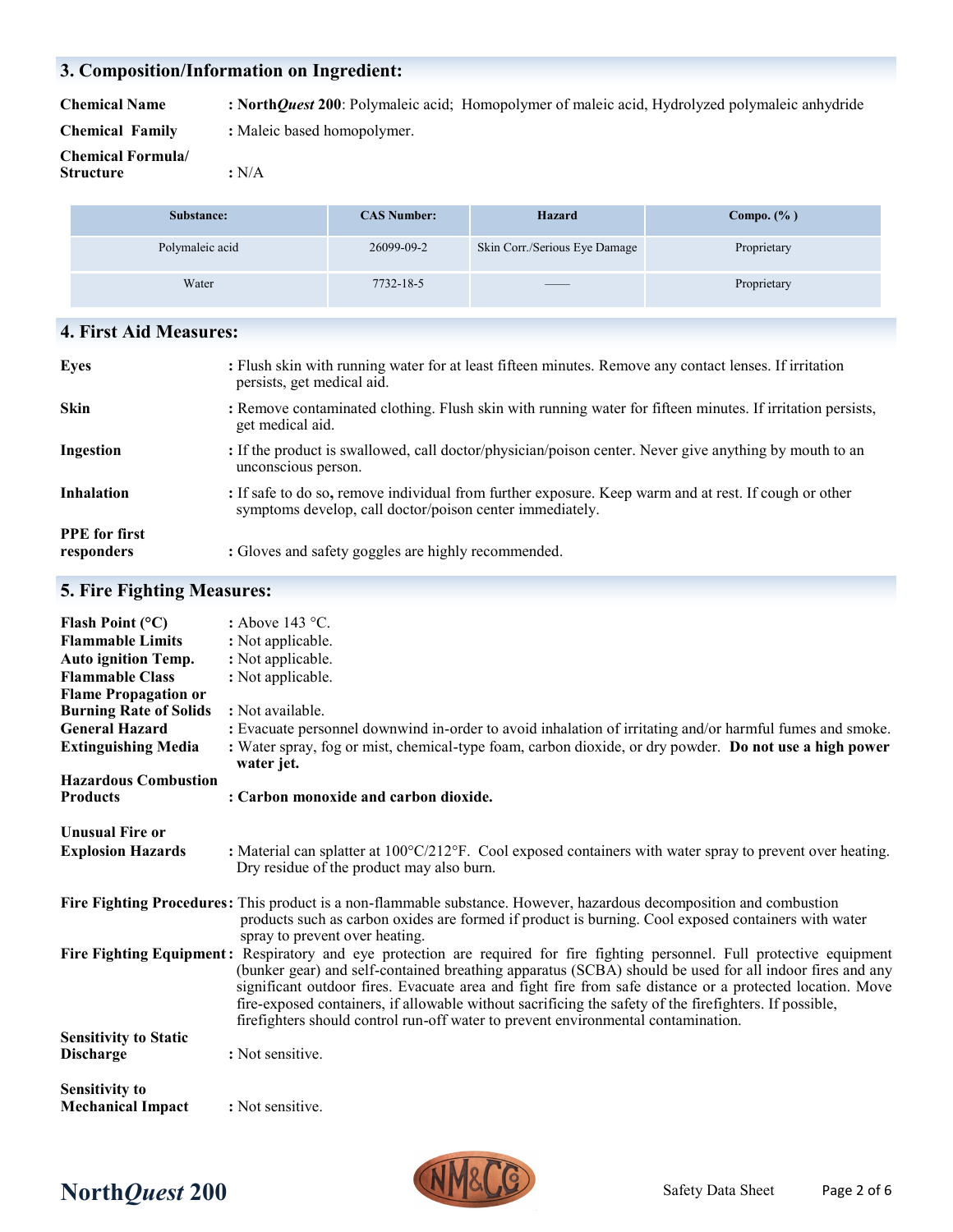### **3. Composition/Information on Ingredient:**

**Chemical Name : North***Quest* **200**: Polymaleic acid; Homopolymer of maleic acid, Hydrolyzed polymaleic anhydride **Chemical Family :** Maleic based homopolymer.

**Chemical Formula/ Structure :** N/A

| Substance:      | <b>CAS Number:</b> | Hazard                                                                                                                                                                                                                                                                                                                                                                                                                                                                     | Compo. $(\% )$ |
|-----------------|--------------------|----------------------------------------------------------------------------------------------------------------------------------------------------------------------------------------------------------------------------------------------------------------------------------------------------------------------------------------------------------------------------------------------------------------------------------------------------------------------------|----------------|
| Polymaleic acid | 26099-09-2         | Skin Corr./Serious Eye Damage                                                                                                                                                                                                                                                                                                                                                                                                                                              | Proprietary    |
| Water           | 7732-18-5          | $\frac{1}{2} \left( \frac{1}{2} \right) \left( \frac{1}{2} \right) \left( \frac{1}{2} \right) \left( \frac{1}{2} \right) \left( \frac{1}{2} \right) \left( \frac{1}{2} \right) \left( \frac{1}{2} \right) \left( \frac{1}{2} \right) \left( \frac{1}{2} \right) \left( \frac{1}{2} \right) \left( \frac{1}{2} \right) \left( \frac{1}{2} \right) \left( \frac{1}{2} \right) \left( \frac{1}{2} \right) \left( \frac{1}{2} \right) \left( \frac{1}{2} \right) \left( \frac$ | Proprietary    |

### **4. First Aid Measures:**

| <b>Eyes</b>                        | : Flush skin with running water for at least fifteen minutes. Remove any contact lenses. If irritation<br>persists, get medical aid.                              |
|------------------------------------|-------------------------------------------------------------------------------------------------------------------------------------------------------------------|
| <b>Skin</b>                        | : Remove contaminated clothing. Flush skin with running water for fifteen minutes. If irritation persists,<br>get medical aid.                                    |
| Ingestion                          | : If the product is swallowed, call doctor/physician/poison center. Never give anything by mouth to an<br>unconscious person.                                     |
| <b>Inhalation</b>                  | : If safe to do so, remove individual from further exposure. Keep warm and at rest. If cough or other<br>symptoms develop, call doctor/poison center immediately. |
| <b>PPE</b> for first<br>responders | : Gloves and safety goggles are highly recommended.                                                                                                               |

### **5. Fire Fighting Measures:**

| Flash Point $(^{\circ}C)$<br><b>Flammable Limits</b><br><b>Auto ignition Temp.</b><br><b>Flammable Class</b><br><b>Flame Propagation or</b><br><b>Burning Rate of Solids</b> | : Above 143 $\degree$ C.<br>: Not applicable.<br>: Not applicable.<br>: Not applicable.<br>: Not available.                                                                                                                                                                                                                                                                                                                                                                                                                                       |
|------------------------------------------------------------------------------------------------------------------------------------------------------------------------------|---------------------------------------------------------------------------------------------------------------------------------------------------------------------------------------------------------------------------------------------------------------------------------------------------------------------------------------------------------------------------------------------------------------------------------------------------------------------------------------------------------------------------------------------------|
| <b>General Hazard</b>                                                                                                                                                        | : Evacuate personnel downwind in-order to avoid inhalation of irritating and/or harmful fumes and smoke.                                                                                                                                                                                                                                                                                                                                                                                                                                          |
| <b>Extinguishing Media</b>                                                                                                                                                   | : Water spray, fog or mist, chemical-type foam, carbon dioxide, or dry powder. Do not use a high power<br>water jet.                                                                                                                                                                                                                                                                                                                                                                                                                              |
| <b>Hazardous Combustion</b>                                                                                                                                                  |                                                                                                                                                                                                                                                                                                                                                                                                                                                                                                                                                   |
| <b>Products</b>                                                                                                                                                              | : Carbon monoxide and carbon dioxide.                                                                                                                                                                                                                                                                                                                                                                                                                                                                                                             |
| <b>Unusual Fire or</b><br><b>Explosion Hazards</b>                                                                                                                           | : Material can splatter at $100^{\circ}$ C/212 $^{\circ}$ F. Cool exposed containers with water spray to prevent over heating.<br>Dry residue of the product may also burn.                                                                                                                                                                                                                                                                                                                                                                       |
|                                                                                                                                                                              | Fire Fighting Procedures: This product is a non-flammable substance. However, hazardous decomposition and combustion<br>products such as carbon oxides are formed if product is burning. Cool exposed containers with water<br>spray to prevent over heating.                                                                                                                                                                                                                                                                                     |
|                                                                                                                                                                              | Fire Fighting Equipment: Respiratory and eye protection are required for fire fighting personnel. Full protective equipment<br>(bunker gear) and self-contained breathing apparatus (SCBA) should be used for all indoor fires and any<br>significant outdoor fires. Evacuate area and fight fire from safe distance or a protected location. Move<br>fire-exposed containers, if allowable without sacrificing the safety of the firefighters. If possible,<br>firefighters should control run-off water to prevent environmental contamination. |
| <b>Sensitivity to Static</b><br><b>Discharge</b>                                                                                                                             | : Not sensitive.                                                                                                                                                                                                                                                                                                                                                                                                                                                                                                                                  |
| <b>Sensitivity to</b><br><b>Mechanical Impact</b>                                                                                                                            | : Not sensitive.                                                                                                                                                                                                                                                                                                                                                                                                                                                                                                                                  |

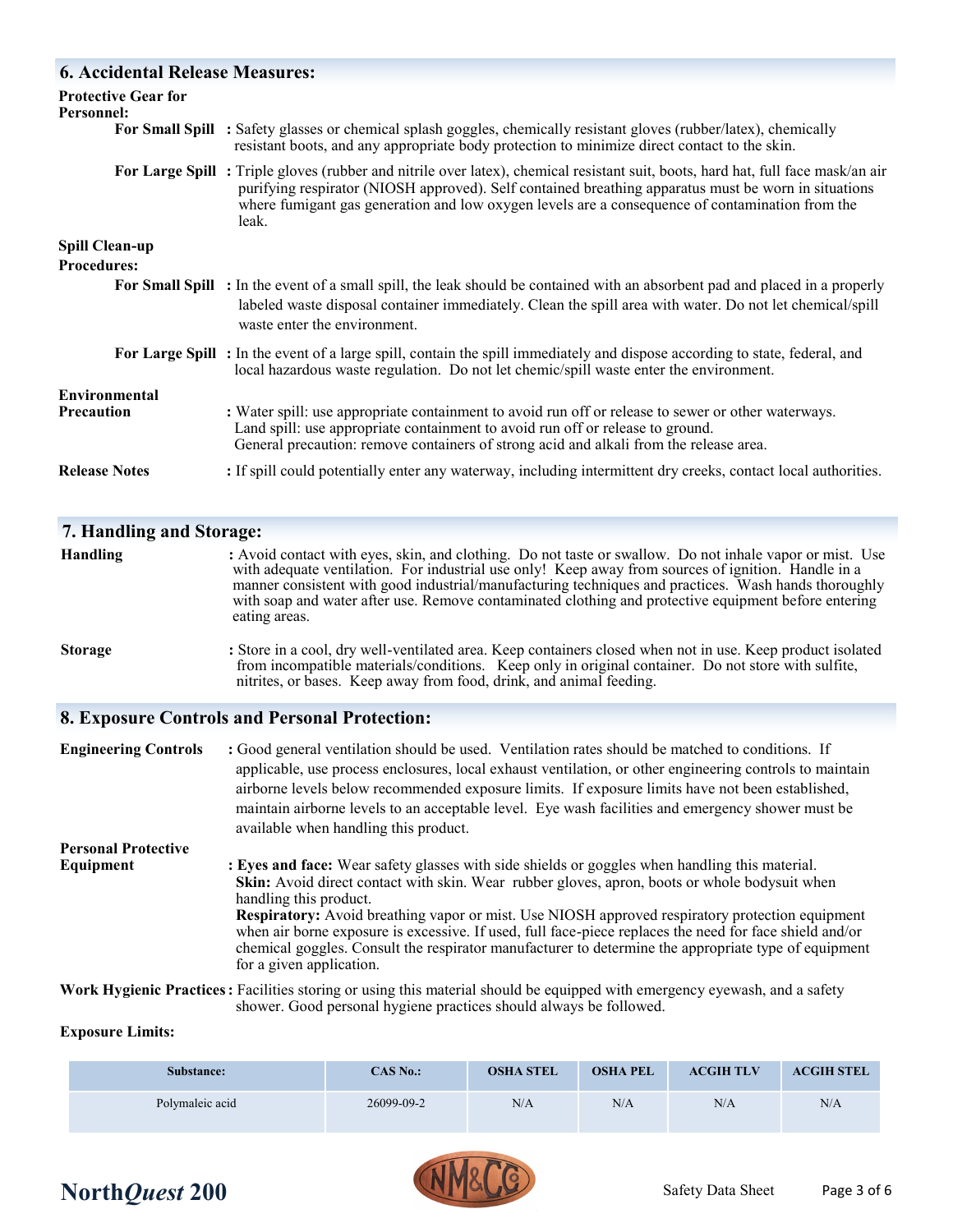### **6. Accidental Release Measures:**

| <b>Protective Gear for</b><br><b>Personnel:</b> |                                                                                                                                                                                                                                                                                                                                                                                                                                 |
|-------------------------------------------------|---------------------------------------------------------------------------------------------------------------------------------------------------------------------------------------------------------------------------------------------------------------------------------------------------------------------------------------------------------------------------------------------------------------------------------|
|                                                 | For Small Spill : Safety glasses or chemical splash goggles, chemically resistant gloves (rubber/latex), chemically<br>resistant boots, and any appropriate body protection to minimize direct contact to the skin.                                                                                                                                                                                                             |
|                                                 | For Large Spill: Triple gloves (rubber and nitrile over latex), chemical resistant suit, boots, hard hat, full face mask/an air<br>purifying respirator (NIOSH approved). Self contained breathing apparatus must be worn in situations<br>where fumigant gas generation and low oxygen levels are a consequence of contamination from the<br>leak.                                                                             |
| Spill Clean-up                                  |                                                                                                                                                                                                                                                                                                                                                                                                                                 |
| <b>Procedures:</b>                              |                                                                                                                                                                                                                                                                                                                                                                                                                                 |
|                                                 | For Small Spill : In the event of a small spill, the leak should be contained with an absorbent pad and placed in a properly<br>labeled waste disposal container immediately. Clean the spill area with water. Do not let chemical/spill<br>waste enter the environment.                                                                                                                                                        |
|                                                 | For Large Spill: In the event of a large spill, contain the spill immediately and dispose according to state, federal, and<br>local hazardous waste regulation. Do not let chemic/spill waste enter the environment.                                                                                                                                                                                                            |
| Environmental                                   |                                                                                                                                                                                                                                                                                                                                                                                                                                 |
| <b>Precaution</b>                               | : Water spill: use appropriate containment to avoid run off or release to sewer or other waterways.<br>Land spill: use appropriate containment to avoid run off or release to ground.<br>General precaution: remove containers of strong acid and alkali from the release area.                                                                                                                                                 |
| <b>Release Notes</b>                            | : If spill could potentially enter any waterway, including intermittent dry creeks, contact local authorities.                                                                                                                                                                                                                                                                                                                  |
| 7. Handling and Storage:                        |                                                                                                                                                                                                                                                                                                                                                                                                                                 |
| <b>Handling</b>                                 | : Avoid contact with eyes, skin, and clothing. Do not taste or swallow. Do not inhale vapor or mist. Use<br>with adequate ventilation. For industrial use only! Keep away from sources of ignition. Handle in a<br>manner consistent with good industrial/manufacturing techniques and practices. Wash hands thoroughly<br>with soap and water after use. Remove contaminated clothing and protective equipment before entering |

**Storage :** Store in a cool, dry well-ventilated area. Keep containers closed when not in use. Keep product isolated from incompatible materials/conditions. Keep only in original container. Do not store with sulfite, nitrites, or bases. Keep away from food, drink, and animal feeding.

### **8. Exposure Controls and Personal Protection:**

eating areas.

| <b>Engineering Controls</b> | : Good general ventilation should be used. Ventilation rates should be matched to conditions. If<br>applicable, use process enclosures, local exhaust ventilation, or other engineering controls to maintain<br>airborne levels below recommended exposure limits. If exposure limits have not been established,<br>maintain airborne levels to an acceptable level. Eye wash facilities and emergency shower must be<br>available when handling this product.                                                                                                              |
|-----------------------------|-----------------------------------------------------------------------------------------------------------------------------------------------------------------------------------------------------------------------------------------------------------------------------------------------------------------------------------------------------------------------------------------------------------------------------------------------------------------------------------------------------------------------------------------------------------------------------|
| <b>Personal Protective</b>  |                                                                                                                                                                                                                                                                                                                                                                                                                                                                                                                                                                             |
| Equipment                   | : Eyes and face: Wear safety glasses with side shields or goggles when handling this material.<br>Skin: Avoid direct contact with skin. Wear rubber gloves, apron, boots or whole bodysuit when<br>handling this product.<br>Respiratory: Avoid breathing vapor or mist. Use NIOSH approved respiratory protection equipment<br>when air borne exposure is excessive. If used, full face-piece replaces the need for face shield and/or<br>chemical goggles. Consult the respirator manufacturer to determine the appropriate type of equipment<br>for a given application. |

**Work Hygienic Practices:** Facilities storing or using this material should be equipped with emergency eyewash, and a safety shower. Good personal hygiene practices should always be followed.

#### **Exposure Limits:**

| Substance:      | $CAS$ $No.$ : | <b>OSHA STEL</b> | <b>OSHA PEL</b> | <b>ACGIH TLV</b> | <b>ACGIH STEL</b> |
|-----------------|---------------|------------------|-----------------|------------------|-------------------|
| Polymaleic acid | 26099-09-2    | N/A              | N/A             | N/A              | N/A               |

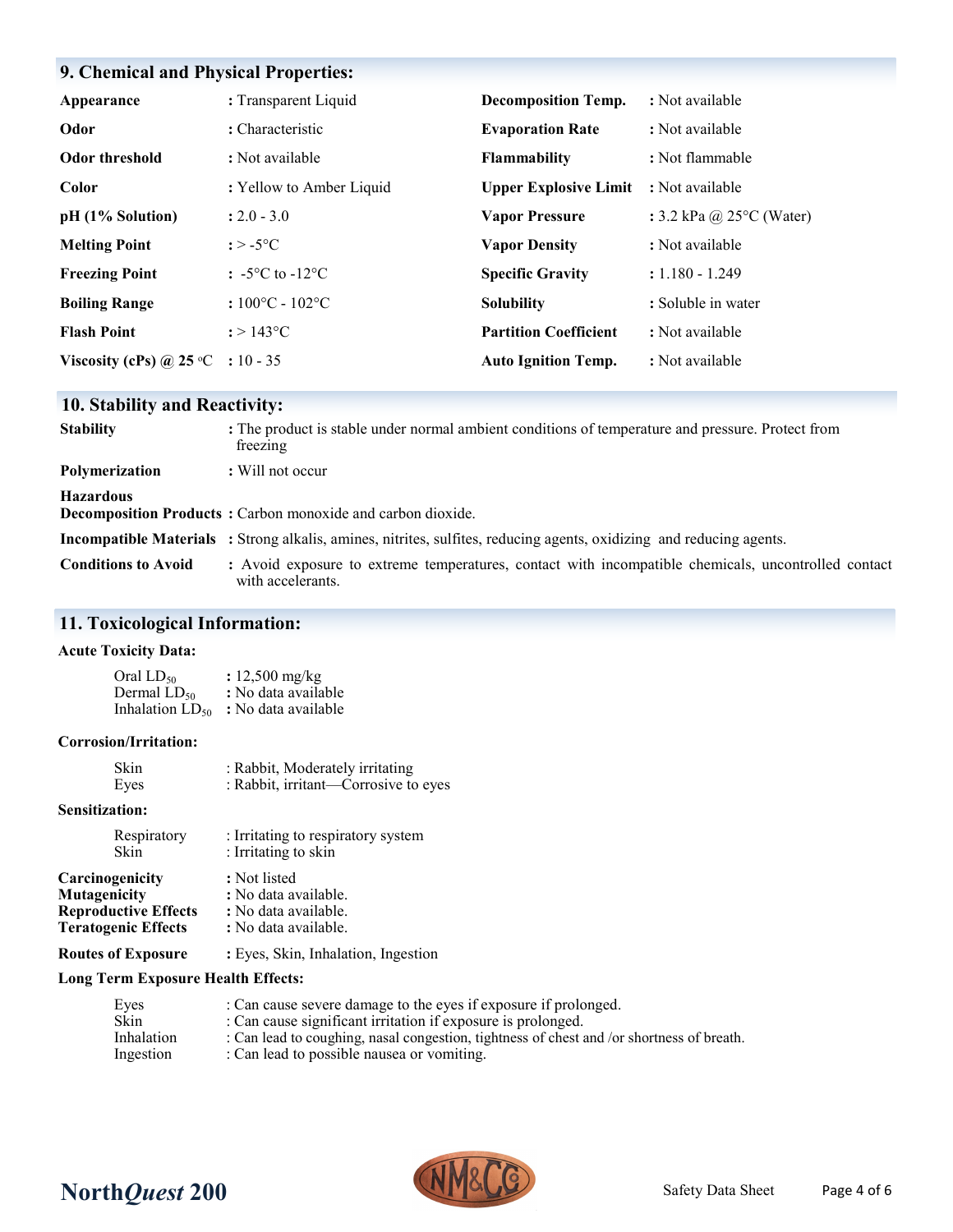### **9. Chemical and Physical Properties:**

| Appearance                        | : Transparent Liquid                           | <b>Decomposition Temp.</b>   | : Not available                    |
|-----------------------------------|------------------------------------------------|------------------------------|------------------------------------|
| Odor                              | : Characteristic                               | <b>Evaporation Rate</b>      | : Not available                    |
| Odor threshold                    | : Not available                                | <b>Flammability</b>          | : Not flammable                    |
| Color                             | : Yellow to Amber Liquid                       | <b>Upper Explosive Limit</b> | : Not available                    |
| pH (1% Solution)                  | $: 2.0 - 3.0$                                  | <b>Vapor Pressure</b>        | : 3.2 kPa @ $25^{\circ}$ C (Water) |
| <b>Melting Point</b>              | $: > -5$ °C                                    | <b>Vapor Density</b>         | : Not available                    |
| <b>Freezing Point</b>             | $\div$ -5 <sup>o</sup> C to -12 <sup>o</sup> C | <b>Specific Gravity</b>      | $: 1.180 - 1.249$                  |
| <b>Boiling Range</b>              | $:100^{\circ}$ C - 102 $^{\circ}$ C            | <b>Solubility</b>            | : Soluble in water                 |
| <b>Flash Point</b>                | $: > 143^{\circ}C$                             | <b>Partition Coefficient</b> | : Not available                    |
| Viscosity (cPs) @ 25 °C : 10 - 35 |                                                | <b>Auto Ignition Temp.</b>   | : Not available                    |

### **10. Stability and Reactivity:**

| <b>Stability</b>           | : The product is stable under normal ambient conditions of temperature and pressure. Protect from<br>freezing               |
|----------------------------|-----------------------------------------------------------------------------------------------------------------------------|
| <b>Polymerization</b>      | $\therefore$ Will not occur                                                                                                 |
| <b>Hazardous</b>           | <b>Decomposition Products:</b> Carbon monoxide and carbon dioxide.                                                          |
|                            | <b>Incompatible Materials</b> : Strong alkalis, amines, nitrites, sulfites, reducing agents, oxidizing and reducing agents. |
| <b>Conditions to Avoid</b> | : Avoid exposure to extreme temperatures, contact with incompatible chemicals, uncontrolled contact<br>with accelerants.    |

### **11. Toxicological Information:**

### **Acute Toxicity Data:**

| Oral $LD_{50}$       | : $12,500 \text{ mg/kg}$ |
|----------------------|--------------------------|
| Dermal $LD_{50}$     | : No data available      |
| Inhalation $LD_{50}$ | : No data available      |

#### **Corrosion/Irritation:**

| <b>Skin</b> | : Rabbit, Moderately irritating      |
|-------------|--------------------------------------|
| Eyes        | : Rabbit, irritant—Corrosive to eyes |

### **Sensitization:**

| Respiratory                 | : Irritating to respiratory system  |
|-----------------------------|-------------------------------------|
| Skin                        | : Irritating to skin                |
| Carcinogenicity             | : Not listed                        |
| Mutagenicity                | : No data available.                |
| <b>Reproductive Effects</b> | : No data available.                |
| <b>Teratogenic Effects</b>  | : No data available.                |
| <b>Routes of Exposure</b>   | : Eyes, Skin, Inhalation, Ingestion |

### **Long Term Exposure Health Effects:**

| Eyes              | : Can cause severe damage to the eyes if exposure if prolonged.                           |
|-------------------|-------------------------------------------------------------------------------------------|
| Skin              | : Can cause significant irritation if exposure is prolonged.                              |
| <b>Inhalation</b> | : Can lead to coughing, nasal congestion, tightness of chest and /or shortness of breath. |
| Ingestion         | : Can lead to possible nausea or vomiting.                                                |

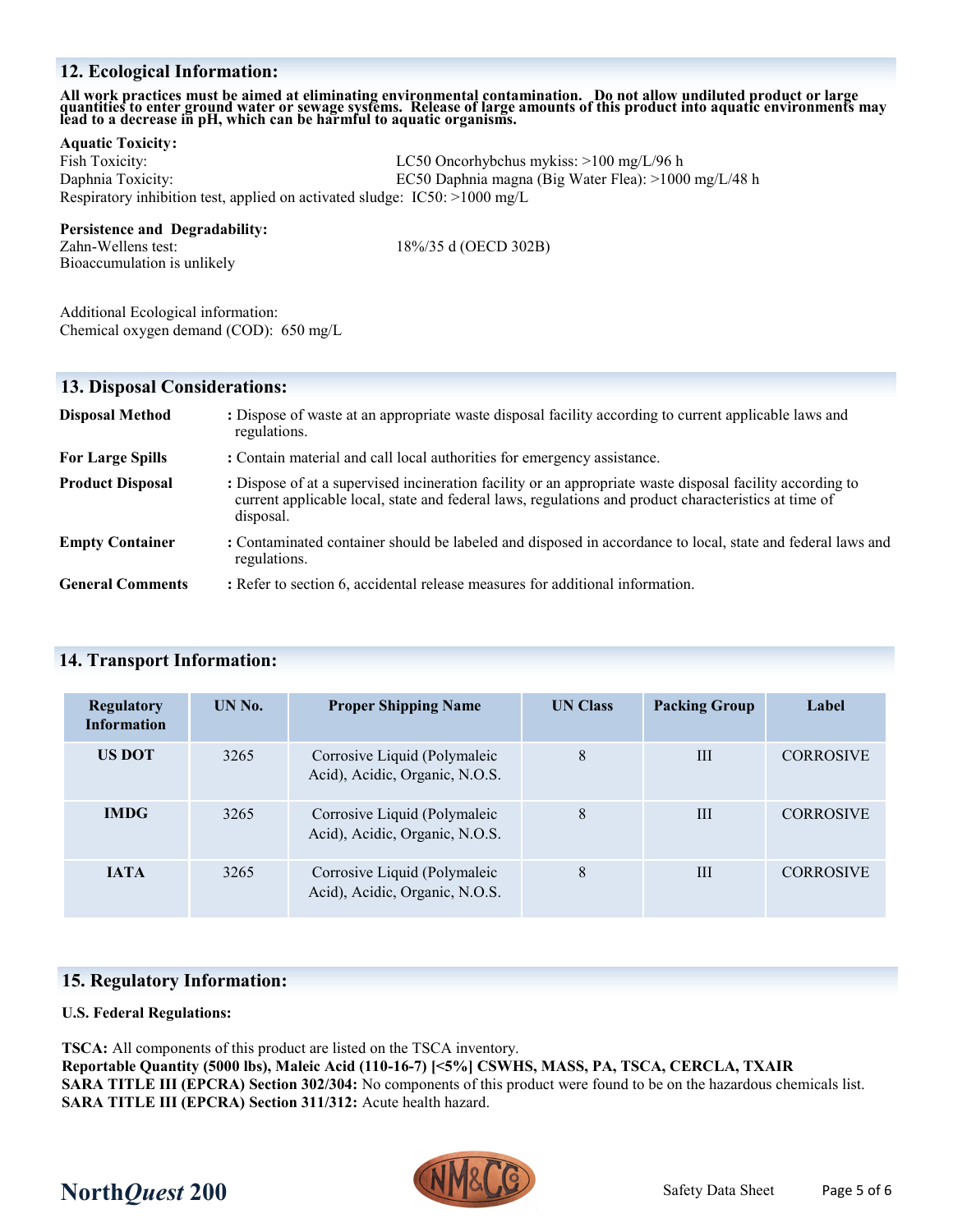### **12. Ecological Information:**

# All work practices must be aimed at eliminating environmental contamination. Do not allow undiluted product or large<br>quantities to enter ground water or sewage systems. Release of large amounts of this product into aquatic

#### **Aquatic Toxicity:**

Fish Toxicity: LC50 Oncorhybchus mykiss: >100 mg/L/96 h Daphnia Toxicity: EC50 Daphnia magna (Big Water Flea): >1000 mg/L/48 h Respiratory inhibition test, applied on activated sludge: IC50: >1000 mg/L

#### **Persistence and Degradability:**

Zahn-Wellens test: 18%/35 d (OECD 302B) Bioaccumulation is unlikely

Additional Ecological information: Chemical oxygen demand (COD): 650 mg/L

### **13. Disposal Considerations:**

| <b>Disposal Method</b>  | : Dispose of waste at an appropriate waste disposal facility according to current applicable laws and<br>regulations.                                                                                                          |
|-------------------------|--------------------------------------------------------------------------------------------------------------------------------------------------------------------------------------------------------------------------------|
| <b>For Large Spills</b> | : Contain material and call local authorities for emergency assistance.                                                                                                                                                        |
| <b>Product Disposal</b> | : Dispose of at a supervised incineration facility or an appropriate waste disposal facility according to<br>current applicable local, state and federal laws, regulations and product characteristics at time of<br>disposal. |
| <b>Empty Container</b>  | : Contaminated container should be labeled and disposed in accordance to local, state and federal laws and<br>regulations.                                                                                                     |
| <b>General Comments</b> | : Refer to section 6, accidental release measures for additional information.                                                                                                                                                  |

### **14. Transport Information:**

| <b>Regulatory</b><br><b>Information</b> | UN No. | <b>Proper Shipping Name</b>                                    | <b>UN Class</b> | <b>Packing Group</b> | Label            |
|-----------------------------------------|--------|----------------------------------------------------------------|-----------------|----------------------|------------------|
| <b>US DOT</b>                           | 3265   | Corrosive Liquid (Polymaleic<br>Acid), Acidic, Organic, N.O.S. | 8               | III                  | <b>CORROSIVE</b> |
| <b>IMDG</b>                             | 3265   | Corrosive Liquid (Polymaleic<br>Acid), Acidic, Organic, N.O.S. | 8               | IΙI                  | <b>CORROSIVE</b> |
| <b>JATA</b>                             | 3265   | Corrosive Liquid (Polymaleic<br>Acid), Acidic, Organic, N.O.S. | 8               | Ш                    | <b>CORROSIVE</b> |

### **15. Regulatory Information:**

### **U.S. Federal Regulations:**

**TSCA:** All components of this product are listed on the TSCA inventory. **Reportable Quantity (5000 lbs), Maleic Acid (110-16-7) [<5%] CSWHS, MASS, PA, TSCA, CERCLA, TXAIR SARA TITLE III (EPCRA) Section 302/304:** No components of this product were found to be on the hazardous chemicals list. **SARA TITLE III (EPCRA) Section 311/312:** Acute health hazard.